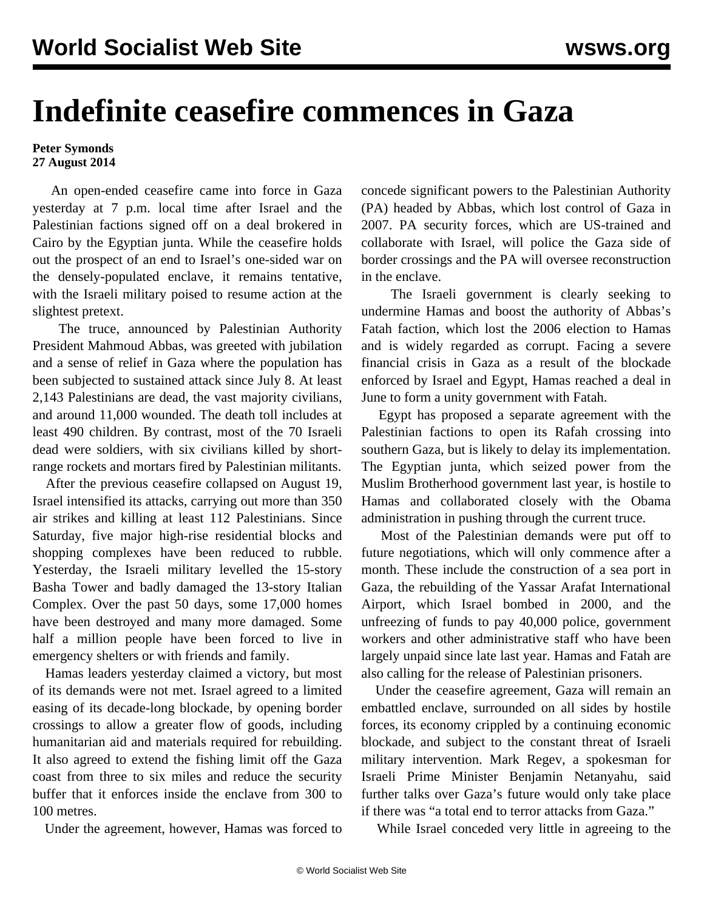## **Indefinite ceasefire commences in Gaza**

## **Peter Symonds 27 August 2014**

 An open-ended ceasefire came into force in Gaza yesterday at 7 p.m. local time after Israel and the Palestinian factions signed off on a deal brokered in Cairo by the Egyptian junta. While the ceasefire holds out the prospect of an end to Israel's one-sided war on the densely-populated enclave, it remains tentative, with the Israeli military poised to resume action at the slightest pretext.

 The truce, announced by Palestinian Authority President Mahmoud Abbas, was greeted with jubilation and a sense of relief in Gaza where the population has been subjected to sustained attack since July 8. At least 2,143 Palestinians are dead, the vast majority civilians, and around 11,000 wounded. The death toll includes at least 490 children. By contrast, most of the 70 Israeli dead were soldiers, with six civilians killed by shortrange rockets and mortars fired by Palestinian militants.

 After the previous ceasefire collapsed on August 19, Israel intensified its attacks, carrying out more than 350 air strikes and killing at least 112 Palestinians. Since Saturday, five major high-rise residential blocks and shopping complexes have been reduced to rubble. Yesterday, the Israeli military levelled the 15-story Basha Tower and badly damaged the 13-story Italian Complex. Over the past 50 days, some 17,000 homes have been destroyed and many more damaged. Some half a million people have been forced to live in emergency shelters or with friends and family.

 Hamas leaders yesterday claimed a victory, but most of its demands were not met. Israel agreed to a limited easing of its decade-long blockade, by opening border crossings to allow a greater flow of goods, including humanitarian aid and materials required for rebuilding. It also agreed to extend the fishing limit off the Gaza coast from three to six miles and reduce the security buffer that it enforces inside the enclave from 300 to 100 metres.

Under the agreement, however, Hamas was forced to

concede significant powers to the Palestinian Authority (PA) headed by Abbas, which lost control of Gaza in 2007. PA security forces, which are US-trained and collaborate with Israel, will police the Gaza side of border crossings and the PA will oversee reconstruction in the enclave.

 The Israeli government is clearly seeking to undermine Hamas and boost the authority of Abbas's Fatah faction, which lost the 2006 election to Hamas and is widely regarded as corrupt. Facing a severe financial crisis in Gaza as a result of the blockade enforced by Israel and Egypt, Hamas reached a deal in June to form a unity government with Fatah.

 Egypt has proposed a separate agreement with the Palestinian factions to open its Rafah crossing into southern Gaza, but is likely to delay its implementation. The Egyptian junta, which seized power from the Muslim Brotherhood government last year, is hostile to Hamas and collaborated closely with the Obama administration in pushing through the current truce.

 Most of the Palestinian demands were put off to future negotiations, which will only commence after a month. These include the construction of a sea port in Gaza, the rebuilding of the Yassar Arafat International Airport, which Israel bombed in 2000, and the unfreezing of funds to pay 40,000 police, government workers and other administrative staff who have been largely unpaid since late last year. Hamas and Fatah are also calling for the release of Palestinian prisoners.

 Under the ceasefire agreement, Gaza will remain an embattled enclave, surrounded on all sides by hostile forces, its economy crippled by a continuing economic blockade, and subject to the constant threat of Israeli military intervention. Mark Regev, a spokesman for Israeli Prime Minister Benjamin Netanyahu, said further talks over Gaza's future would only take place if there was "a total end to terror attacks from Gaza."

While Israel conceded very little in agreeing to the